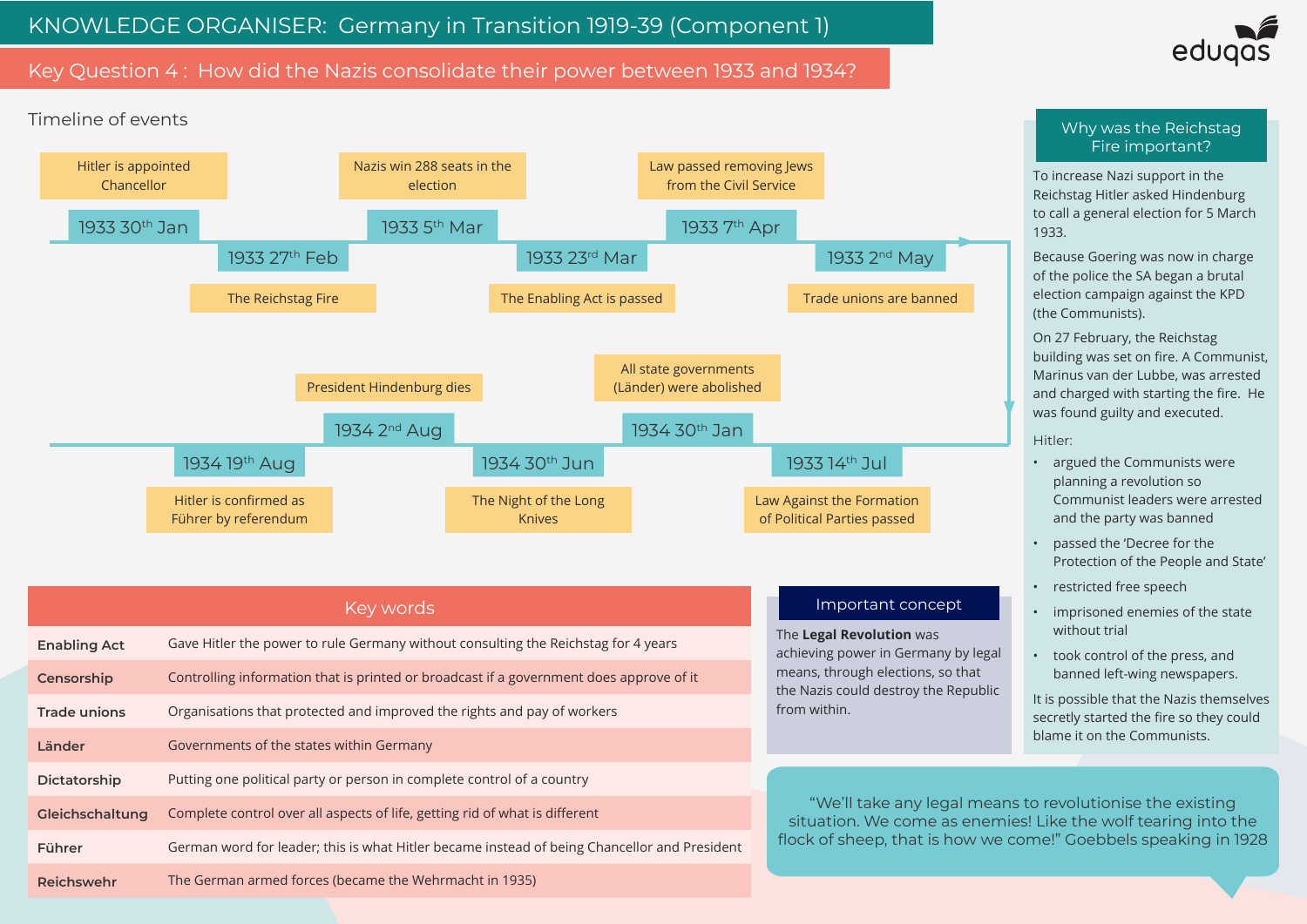# Key Question 4 : How did the Nazis consolidate their power between 1933 and 1934?



To increase Nazi support in the Reichstag Hitler asked Hindenburg to call a general election for 5 March 1933.

Because Goering was now in charge of the police the SA began a brutal election campaign against the KPD (the Communists).

On 27 February, the Reichstag building was set on fire. A Communist, Marinus van der Lubbe, was arrested and charged with starting the fire. He was found guilty and executed.

Hitler:

- argued the Communists were planning a revolution so Communist leaders were arrested and the party was banned
- passed the 'Decree for the Protection of the People and State'
- restricted free speech
- imprisoned enemies of the state without trial
- took control of the press, and banned left-wing newspapers.

|                     | Key words                                                                                    | Important concept                                                                                                                                            |
|---------------------|----------------------------------------------------------------------------------------------|--------------------------------------------------------------------------------------------------------------------------------------------------------------|
| <b>Enabling Act</b> | Gave Hitler the power to rule Germany without consulting the Reichstag for 4 years           | The Legal Revolution was<br>achieving power in Germany by legal<br>means, through elections, so that<br>the Nazis could destroy the Republic<br>from within. |
| Censorship          | Controlling information that is printed or broadcast if a government does approve of it      |                                                                                                                                                              |
| <b>Trade unions</b> | Organisations that protected and improved the rights and pay of workers                      |                                                                                                                                                              |
| Länder              | Governments of the states within Germany                                                     |                                                                                                                                                              |
| Dictatorship        | Putting one political party or person in complete control of a country                       |                                                                                                                                                              |
| Gleichschaltung     | Complete control over all aspects of life, getting rid of what is different                  | "We'll take any legal mear<br>situation. We come as enem<br>flock of sheep, that is how we                                                                   |
| <b>Führer</b>       | German word for leader; this is what Hitler became instead of being Chancellor and President |                                                                                                                                                              |
| <b>Reichswehr</b>   | The German armed forces (became the Wehrmacht in 1935)                                       |                                                                                                                                                              |



It is possible that the Nazis themselves secretly started the fire so they could blame it on the Communists.

eans to revolutionise the existing emies! Like the wolf tearing into the we come!" Goebbels speaking in 1928

### Why was the Reichstag Fire important?